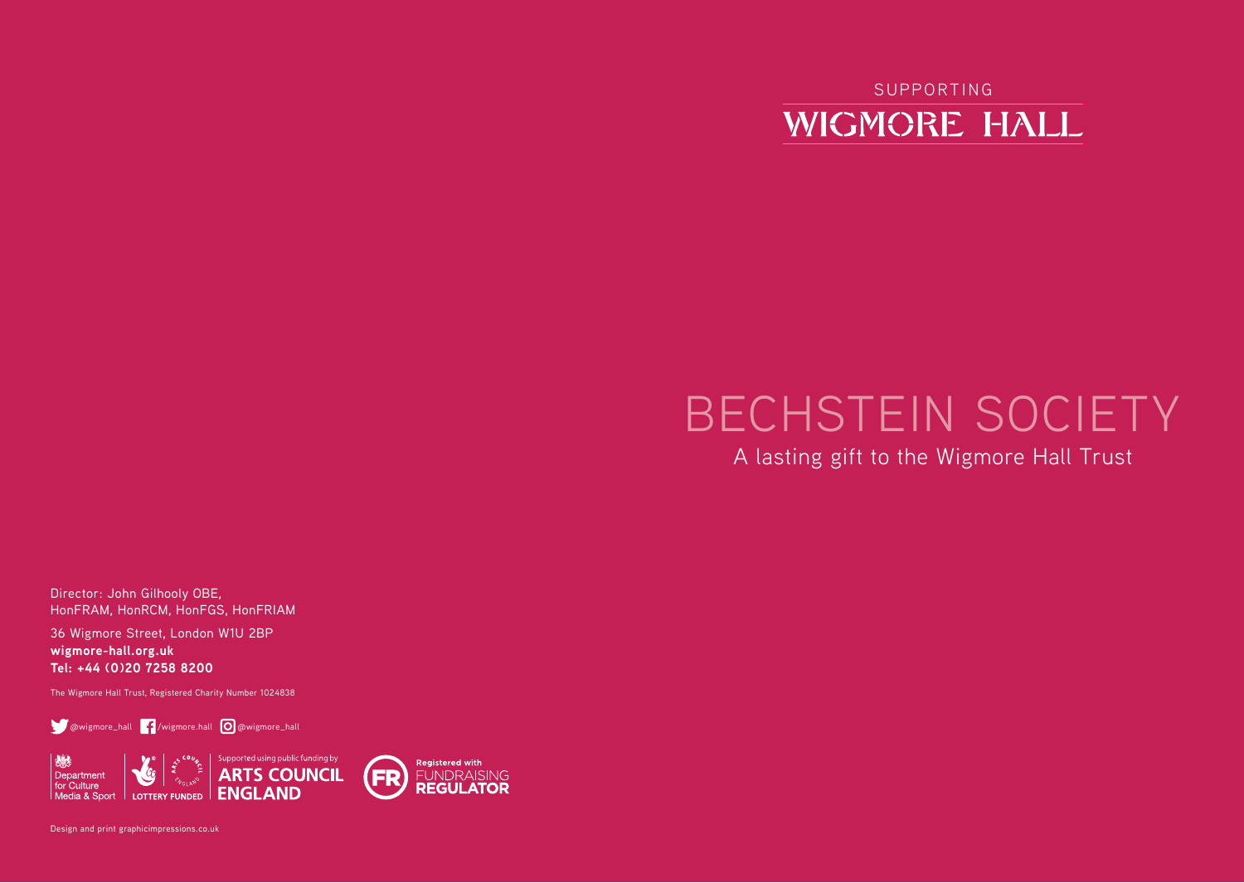SUPPORTING **WIGMORE HALL** 

## BECHSTEIN SOCIETY

A lasting gift to the Wigmore Hall Trust

Director: John Gilhooly OBE, HonFRAM, HonRCM, HonFGS, HonFRIAM

36 Wigmore Street, London W1U 2BP **wigmore-hall.org.uk Tel: +44 (0)20 7258 8200**

The Wigmore Hall Trust, Registered Charity Number 1024838

**@wigmore\_hall | {** /wigmore.hall **O** @wigmore\_hall



Design and print graphicimpressions.co.uk